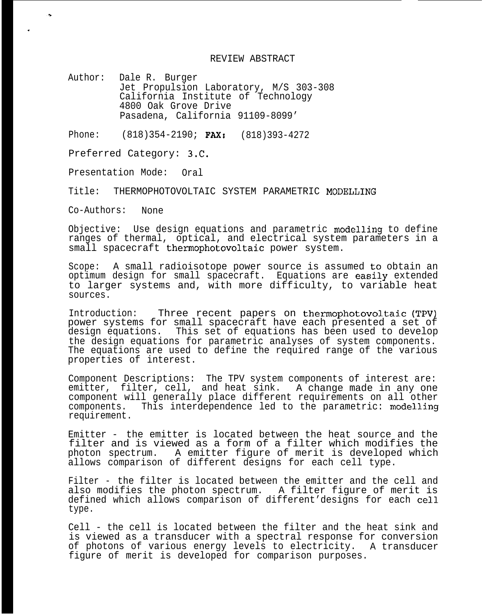REVIEW ABSTRACT

Author: Dale R. Burger Jet Propulsion Laboratory, M/S 303-308 California Institute of Technology 4800 Oak Grove Drive Pasadena, California 91109-8099'

Phone: (818)354-2190; **FAX:** (818)393-4272

Preferred Category: 3.C.

Presentation Mode: Oral

Title: THERMOPHOTOVOLTAIC SYSTEM PARAMETRIC MODELLING

Co-Authors: None

,

J.

Objective: Use design equations and parametric modelling to define ranges of thermal, optical, and electrical system parameters in a small spacecraft thermophotovoltaic power system.

Scope: A small radioisotope power source is assumed to obtain an optimum design for small spacecraft. Equations are easily extended to larger systems and, with more difficulty, to variable heat sources.

Introduction: Three recent papers on thermophotovoltaic (TPV) power systems for small spacecraft have each presented a set of design equations. This set of equations has been used to develop the design equations for parametric analyses of system components. The equations are used to define the required range of the various properties of interest.

Component Descriptions: The TPV system components of interest are: emitter, filter, cell, and heat sink. A change made in any one component will generally place different requirements on all other components. This interdependence led to the parametric: modelling requirement.

Emitter - the emitter is located between the heat source and the filter and is viewed as a form of a filter which modifies the photon spectrum. A emitter figure of merit is developed which allows comparison of different designs for each cell type.

Filter - the filter is located between the emitter and the cell and also modifies the photon spectrum. A filter figure of merit is defined which allows comparison of different'designs for each cell type.

Cell - the cell is located between the filter and the heat sink and is viewed as a transducer with a spectral response for conversion of photons of various energy levels to electricity. A transducer figure of merit is developed for comparison purposes.